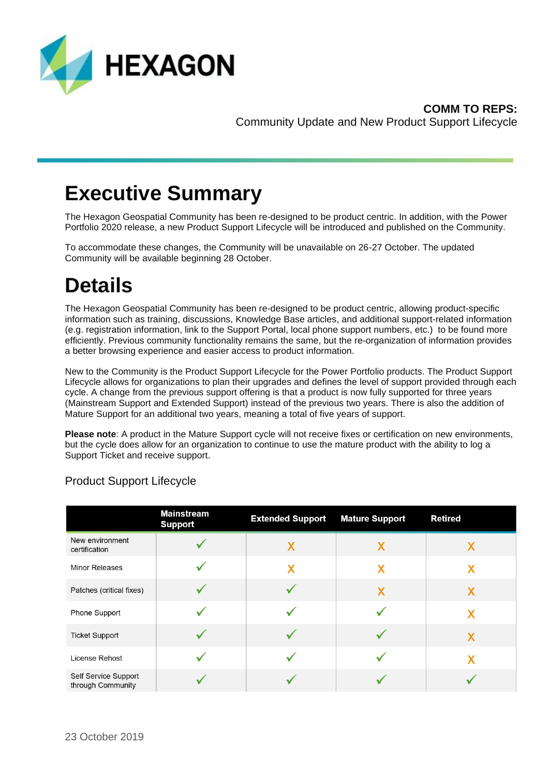

## **Executive Summary**

The Hexagon Geospatial Community has been re-designed to be product centric. In addition, with the Power Portfolio 2020 release, a new Product Support Lifecycle will be introduced and published on the Community.

To accommodate these changes, the Community will be unavailable on 26-27 October. The updated Community will be available beginning 28 October.

# **Details**

The Hexagon Geospatial Community has been re-designed to be product centric, allowing product-specific information such as training, discussions, Knowledge Base articles, and additional support-related information (e.g. registration information, link to the Support Portal, local phone support numbers, etc.) to be found more efficiently. Previous community functionality remains the same, but the re-organization of information provides a better browsing experience and easier access to product information.

New to the Community is the Product Support Lifecycle for the Power Portfolio products. The Product Support Lifecycle allows for organizations to plan their upgrades and defines the level of support provided through each cycle. A change from the previous support offering is that a product is now fully supported for three years (Mainstream Support and Extended Support) instead of the previous two years. There is also the addition of Mature Support for an additional two years, meaning a total of five years of support.

**Please note**: A product in the Mature Support cycle will not receive fixes or certification on new environments, but the cycle does allow for an organization to continue to use the mature product with the ability to log a Support Ticket and receive support.

|                                           | <b>Mainstream</b><br><b>Support</b> | <b>Extended Support</b> | <b>Mature Support</b> | <b>Retired</b> |
|-------------------------------------------|-------------------------------------|-------------------------|-----------------------|----------------|
| New environment<br>certification          |                                     | X                       | X                     | X              |
| <b>Minor Releases</b>                     |                                     | X                       | X                     | X              |
| Patches (critical fixes)                  |                                     |                         | X                     | X              |
| Phone Support                             |                                     |                         |                       | Х              |
| <b>Ticket Support</b>                     |                                     |                         |                       | X              |
| License Rehost                            |                                     |                         |                       | X              |
| Self Service Support<br>through Community |                                     |                         |                       |                |

### Product Support Lifecycle